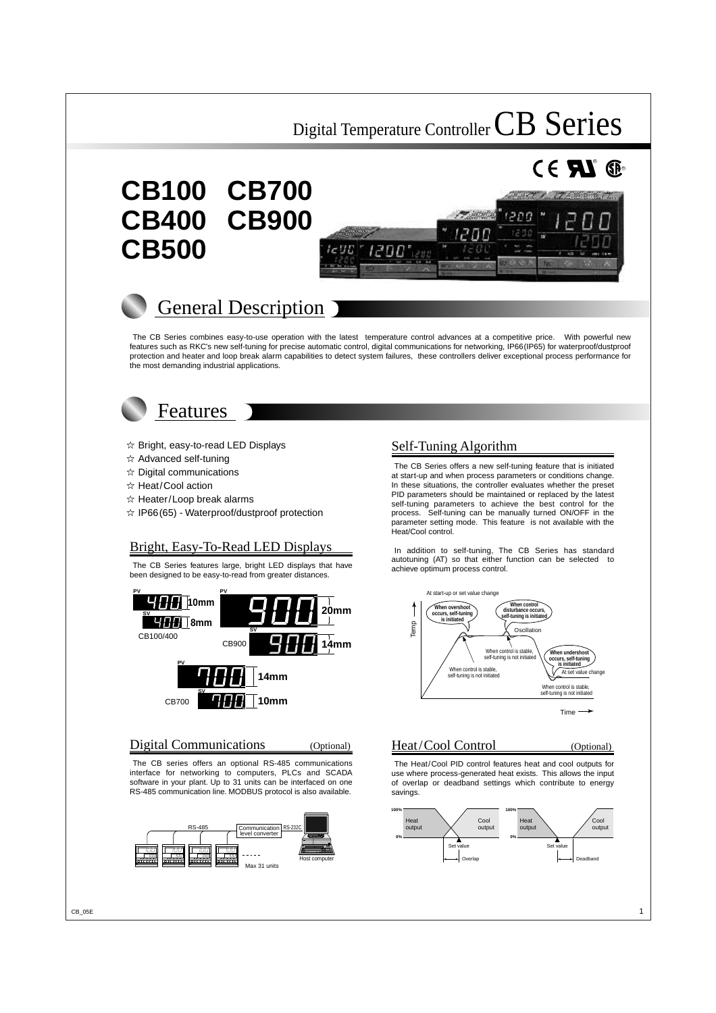# **CB100 CB700 CB400 CB900 CB500**





The CB Series combines easy-to-use operation with the latest temperature control advances at a competitive price. With powerful new features such as RKC's new self-tuning for precise automatic control, digital communications for networking, IP66(IP65) for waterproof/dustproof protection and heater and loop break alarm capabilities to detect system failures, these controllers deliver exceptional process performance for the most demanding industrial applications.



## Features

- $\hat{x}$  Bright, easy-to-read LED Displays
- $\angle$  Advanced self-tuning
- $\angle$  Digital communications
- ☆ Heat/Cool action
- $\hat{x}$  Heater/Loop break alarms
- $\hat{\varphi}$  IP66(65) Waterproof/dustproof protection

## Bright, Easy-To-Read LED Displays

The CB Series features large, bright LED displays that have been designed to be easy-to-read from greater distances.



Digital Communications (Optional)

The CB series offers an optional RS-485 communications interface for networking to computers, PLCs and SCADA software in your plant. Up to 31 units can be interfaced on one RS-485 communication line. MODBUS protocol is also available.



## Self-Tuning Algorithm

The CB Series offers a new self-tuning feature that is initiated at start-up and when process parameters or conditions change. In these situations, the controller evaluates whether the preset PID parameters should be maintained or replaced by the latest self-tuning parameters to achieve the best control for the process. Self-tuning can be manually turned ON/OFF in the parameter setting mode. This feature is not available with the Heat/Cool control.

In addition to self-tuning, The CB Series has standard autotuning (AT) so that either function can be selected to achieve optimum process control.



## Heat/Cool Control (Optional)

 $^{\circ}$  Ge

The Heat/Cool PID control features heat and cool outputs for use where process-generated heat exists. This allows the input of overlap or deadband settings which contribute to energy savings.

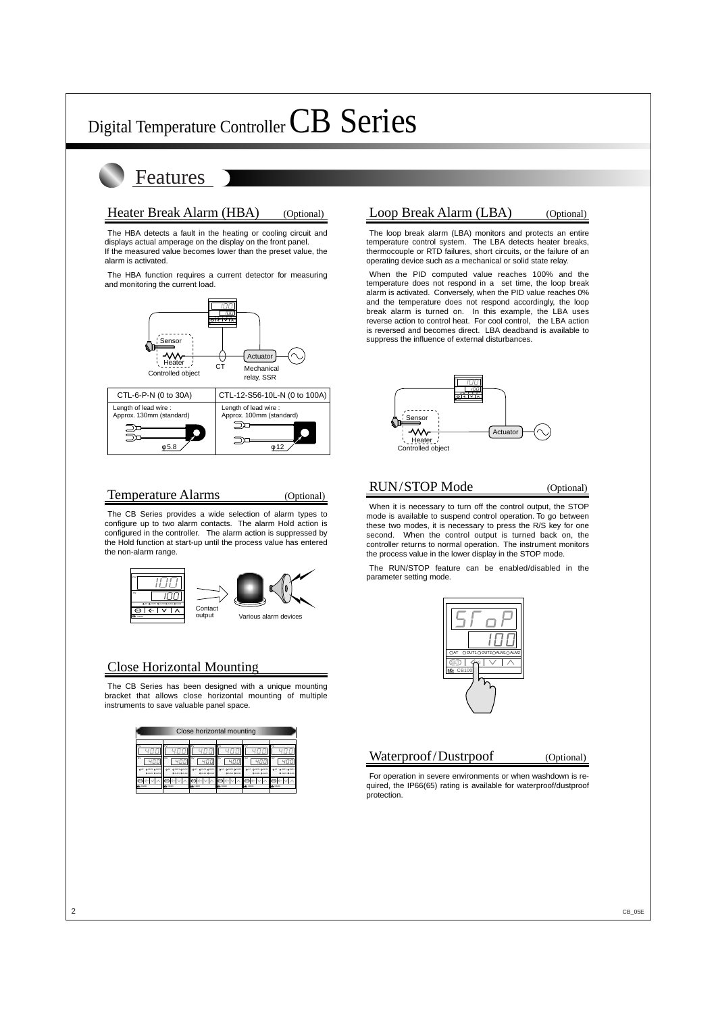## Features

## Heater Break Alarm (HBA) (Optional)

The HBA detects a fault in the heating or cooling circuit and displays actual amperage on the display on the front panel. If the measured value becomes lower than the preset value, the alarm is activated.

The HBA function requires a current detector for measuring and monitoring the current load.



### Temperature Alarms (Optional)

The CB Series provides a wide selection of alarm types to configure up to two alarm contacts. The alarm Hold action is configured in the controller. The alarm action is suppressed by the Hold function at start-up until the process value has entered the non-alarm range.



## Close Horizontal Mounting

The CB Series has been designed with a unique mounting bracket that allows close horizontal mounting of multiple instruments to save valuable panel space.

|                                                                                         | Close horizontal mounting                                                            |                                                                                      |                                                                                                   |                                                                                                      |                                                                                 |  |  |  |  |
|-----------------------------------------------------------------------------------------|--------------------------------------------------------------------------------------|--------------------------------------------------------------------------------------|---------------------------------------------------------------------------------------------------|------------------------------------------------------------------------------------------------------|---------------------------------------------------------------------------------|--|--|--|--|
| PV<br><b>SV</b><br>O OUT1 O OUT2<br>OAT<br><b>OALM! OALM2</b><br>×<br><b>BSG</b> CIG400 | PV<br><b>SV</b><br>O OUT1 O OUT2<br>O AT<br><b>O ALMI O ALM2</b><br><b>156 CENSO</b> | DV.<br><b>SV</b><br>O OUT1 O OUT2<br>OAT<br><b>OAM OAM</b><br>sт<br><b>RIC CENCO</b> | PV<br><b>SV</b><br>$0$ out $0$ out $2$<br><b>O</b> AT<br><b>O ALM1 O ALM2</b><br><b>ING CO400</b> | PV<br><b>SV</b><br>O OUT1 O OUT2<br>O <sub>43</sub><br><b>O ALMS O ALM2</b><br>Ŧ.<br><b>MG</b> CE400 | PV<br><b>SV</b><br>O OUT1 O OUT2<br>OAT<br><b>OAM OAM</b><br>œ<br><b>BECOME</b> |  |  |  |  |

## Loop Break Alarm (LBA) (Optional)

The loop break alarm (LBA) monitors and protects an entire temperature control system. The LBA detects heater breaks, thermocouple or RTD failures, short circuits, or the failure of an operating device such as a mechanical or solid state relay.

When the PID computed value reaches 100% and the temperature does not respond in a set time, the loop break alarm is activated. Conversely, when the PID value reaches 0% and the temperature does not respond accordingly, the loop break alarm is turned on. In this example, the LBA uses reverse action to control heat. For cool control, the LBA action is reversed and becomes direct. LBA deadband is available to suppress the influence of external disturbances.



## RUN/STOP Mode (Optional)

When it is necessary to turn off the control output, the STOP mode is available to suspend control operation. To go between these two modes, it is necessary to press the R/S key for one second. When the control output is turned back on, the controller returns to normal operation. The instrument monitors the process value in the lower display in the STOP mode.

The RUN/STOP feature can be enabled/disabled in the parameter setting mode.



### Waterproof/Dustrpoof (Optional)

For operation in severe environments or when washdown is required, the IP66(65) rating is available for waterproof/dustproof protection.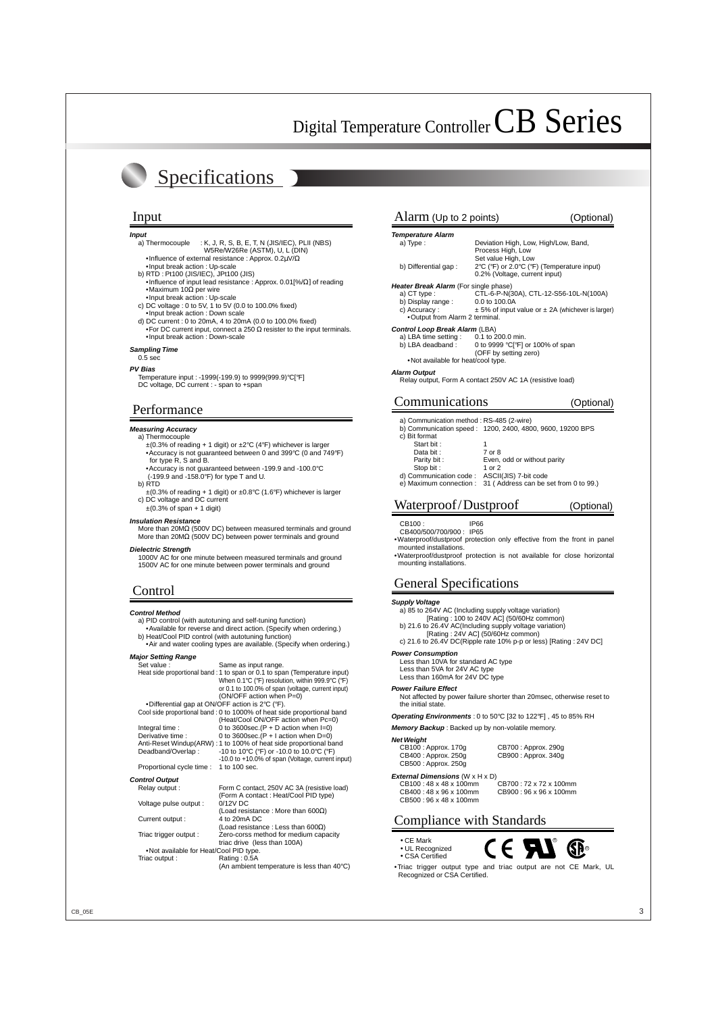# Specifications

#### **Input**

- a) Thermocouple : K, J, R, S, B, E, T, N (JIS/IEC), PLII (NBS) W5Re/W26Re (ASTM), U, L (DIN)
	- •Influence of external resistance : Approx.  $0.2\mu\sqrt{Q}$
- •Input break action : Up-scale
- b) RTD : Pt100 (JIS/IEC), JPt100 (JIS) •Influence of input lead resistance : Approx. 0.01[%/Ω] of reading
- •Maximum 10Ω per wire •Input break action : Up-scale
- 
- c) DC voltage : 0 to 5V, 1 to 5V (0.0 to 100.0% fixed) •Input break action : Down scale
- d) DC current : 0 to 20mA, 4 to 20mA (0.0 to 100.0% fixed) •For DC current input, connect a 250  $\Omega$  resister to the input terminals. •Input break action : Down-scale
- **Sampling Time**
- 0.5 sec
- **PV Bias**
	- Temperature input : -1999(-199.9) to 9999(999.9)°C[°F] DC voltage, DC current : - span to +span

## Performance

#### **Measuring Accuracy**

- a) Thermocouple
	- $\pm$ (0.3% of reading + 1 digit) or  $\pm$ 2°C (4°F) whichever is larger •Accuracy is not guaranteed between 0 and 399°C (0 and 749°F) for type R, S and B.
	- •Accuracy is not guaranteed between -199.9 and -100.0°C (-199.9 and -158.0°F) for type T and U.
- b) RTD
- $\pm$ (0.3% of reading + 1 digit) or  $\pm$ 0.8°C (1.6°F) whichever is larger c) DC voltage and DC current
- ±(0.3% of span + 1 digit)

#### **Insulation Resistance**

More than 20MΩ (500V DC) between measured terminals and ground More than 20MΩ (500V DC) between power terminals and ground

#### **Dielectric Strength**

1000V AC for one minute between measured terminals and ground 1500V AC for one minute between power terminals and ground

#### **Control Method**

a) PID control (with autotuning and self-tuning function) •Available for reverse and direct action. (Specify when ordering.)

- b) Heat/Cool PID control (with autotuning function)
- •Air and water cooling types are available. (Specify when ordering.)

#### **Major Setting Range**

| Set value:                                       | Same as input range.                                                       |
|--------------------------------------------------|----------------------------------------------------------------------------|
|                                                  | Heat side proportional band : 1 to span or 0.1 to span (Temperature input) |
|                                                  | When 0.1°C (°F) resolution, within 999.9°C (°F)                            |
|                                                  | or 0.1 to 100.0% of span (voltage, current input)                          |
|                                                  | (ON/OFF action when P=0)                                                   |
| • Differential gap at ON/OFF action is 2°C (°F). |                                                                            |
|                                                  | Cool side proportional band : 0 to 1000% of heat side proportional band    |
|                                                  | (Heat/Cool ON/OFF action when Pc=0)                                        |
| Integral time:                                   | 0 to 3600sec. $(P + D$ action when $I=0$ )                                 |
| Derivative time:                                 | 0 to 3600sec. $(P + I$ action when $D=0$ )                                 |
|                                                  | Anti-Reset Windup(ARW) : 1 to 100% of heat side proportional band          |
| Deadband/Overlap:                                | -10 to 10°C (°F) or -10.0 to 10.0°C (°F)                                   |
|                                                  | -10.0 to +10.0% of span (Voltage, current input)                           |
| Proportional cycle time :                        | 1 to 100 sec.                                                              |
| <b>Control Output</b>                            |                                                                            |
| Relay output :                                   | Form C contact, 250V AC 3A (resistive load)                                |
|                                                  | (Form A contact: Heat/Cool PID type)                                       |
| Voltage pulse output :                           | $0/12V$ DC                                                                 |
|                                                  | (Load resistance: More than 600 $\Omega$ )                                 |
| Current output :                                 | 4 to 20mA DC                                                               |
|                                                  | (Load resistance: Less than 600 $\Omega$ )                                 |
| Triac trigger output :                           | Zero-corss method for medium capacity                                      |
|                                                  | triac drive (less than 100A)                                               |
| . Not available for Heat/Cool PID type.          |                                                                            |
| Triac output :                                   | Rating: 0.5A                                                               |
|                                                  | (An ambient temperature is less than 40°C)                                 |

#### Input Alarm (Up to 2 points) (Optional)

| <b>Temperature Alarm</b>                     |                                                           |
|----------------------------------------------|-----------------------------------------------------------|
| a) Type:                                     | Deviation High, Low, High/Low, Band,                      |
|                                              | Process High, Low                                         |
|                                              | Set value High, Low                                       |
| b) Differential gap:                         | 2°C (°F) or 2.0°C (°F) (Temperature input)                |
|                                              | 0.2% (Voltage, current input)                             |
| <b>Heater Break Alarm</b> (For single phase) |                                                           |
| a) CT type :                                 | CTL-6-P-N(30A), CTL-12-S56-10L-N(100A)                    |
| b) Display range:                            | 0.0 to 100.0A                                             |
| c) Accuracy:                                 | $\pm$ 5% of input value or $\pm$ 2A (whichever is larger) |
| . Output from Alarm 2 terminal.              |                                                           |
| Control Loop Break Alarm (LBA)               |                                                           |
| a) LBA time setting: $0.1$ to 200.0 min.     |                                                           |
| b) LBA deadband:                             | 0 to 9999 °C[°F] or 100% of span                          |

#### (OFF by setting zero) •Not available for heat/cool type.

**Alarm Output**

Relay output, Form A contact 250V AC 1A (resistive load)

### Communications (Optional)

a) Communication method : RS-485 (2-wire)

b) Communication speed : 1200, 2400, 4800, 9600, 19200 BPS

| c) Bit format                                |                                                                    |
|----------------------------------------------|--------------------------------------------------------------------|
| Start bit:                                   |                                                                    |
| Data bit:                                    | 7 or 8                                                             |
| Parity bit:                                  | Even, odd or without parity                                        |
| Stop bit:                                    | 1 or 2                                                             |
| d) Communication code: ASCII(JIS) 7-bit code |                                                                    |
|                                              | $\alpha$ ) Movimum connection: 21 (Address can be set from 0 to 00 |

e) Maximum connection : 31 ( Address can be set from 0 to 99.)

## Waterproof/Dustproof (Optional)

- CB100 : IP66
- CB400/500/700/900 : IP65 •Waterproof/dustproof protection only effective from the front in panel
- mounted installations. •Waterproof/dustproof protection is not available for close horizontal mounting installations.

## Control General Specifications

#### **Supply Voltage**

a) 85 to 264V AC (Including supply voltage variation)

- [Rating : 100 to 240V AC] (50/60Hz common)
- b) 21.6 to 26.4V AC(Including supply voltage variation)
- [Rating : 24V AC] (50/60Hz common)

c) 21.6 to 26.4V DC(Ripple rate 10% p-p or less) [Rating : 24V DC]

#### **Power Consumption**

Less than 10VA for standard AC type Less than 5VA for 24V AC type Less than 160mA for 24V DC type

#### **Power Failure Effect**

Not affected by power failure shorter than 20msec, otherwise reset to the initial state

**Operating Environments** : 0 to 50°C [32 to 122°F] , 45 to 85% RH

#### **Memory Backup** : Backed up by non-volatile memory.

#### **Net Weight**

| CB100 : Approx. 170g | CB700: Approx. 290q |
|----------------------|---------------------|
| CB400 : Approx. 250g | CB900: Approx. 340g |
| CB500 : Approx. 250g |                     |

**External Dimensions** (W x H x D) CB100 : 48 x 48 x 100mm CB400 : 48 x 96 x 100mm CB900 : 96 x 96 x 100mm CB500 : 96 x 48 x 100mm

## Compliance with Standards

• CE Mark • UL Recognized • CSA Certified



•Triac trigger output type and triac output are not CE Mark, UL Recognized or CSA Certified.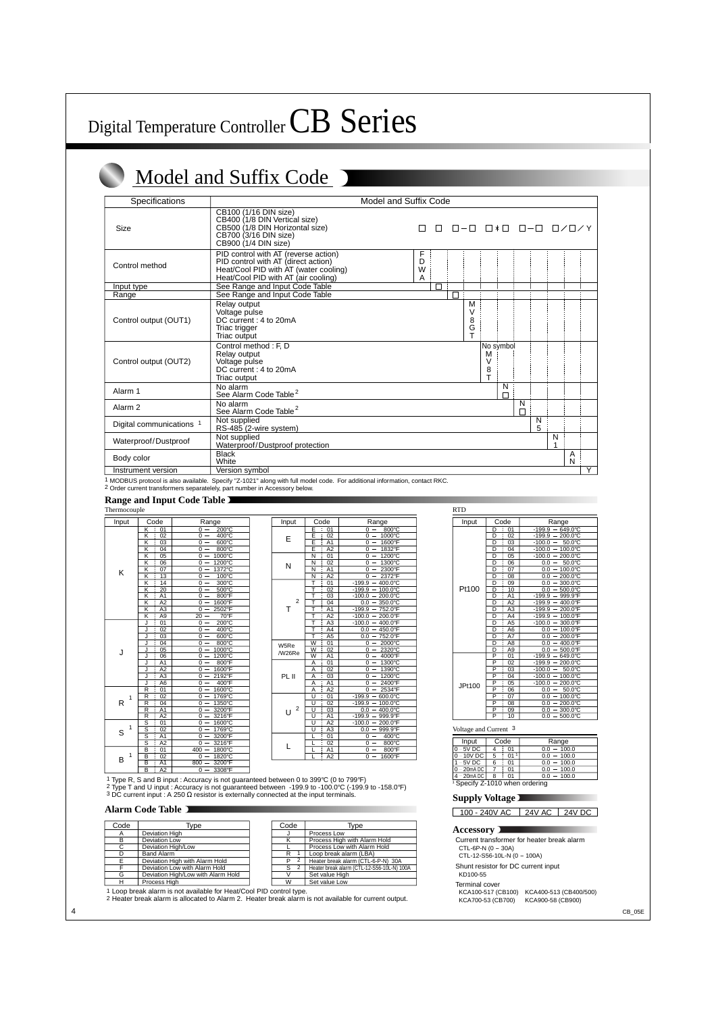## Model and Suffix Code J

| Specifications           |                                                                                                                                                             | Model and Suffix Code                                            |                                    |             |        |   |                   |                |
|--------------------------|-------------------------------------------------------------------------------------------------------------------------------------------------------------|------------------------------------------------------------------|------------------------------------|-------------|--------|---|-------------------|----------------|
| Size                     | CB100 (1/16 DIN size)<br>CB400 (1/8 DIN Vertical size)<br>CB500 (1/8 DIN Horizontal size)<br>CB700 (3/16 DIN size)<br>CB900 (1/4 DIN size)                  | $\Box - \Box$ $\Box * \Box$ $\Box - \Box$ $\Box / \Box / Y$<br>П |                                    |             |        |   |                   |                |
| Control method           | PID control with AT (reverse action)<br>PID control with AT (direct action)<br>Heat/Cool PID with AT (water cooling)<br>Heat/Cool PID with AT (air cooling) | F<br>D<br>W<br>A                                                 |                                    |             |        |   |                   |                |
| Input type               | See Range and Input Code Table                                                                                                                              | г                                                                |                                    |             |        |   |                   |                |
| Range                    | See Range and Input Code Table                                                                                                                              | П                                                                |                                    |             |        |   |                   |                |
| Control output (OUT1)    | Relay output<br>Voltage pulse<br>DC current: 4 to 20mA<br>Triac trigger<br>Triac output                                                                     | M<br>$\vee$<br>8<br>G<br>$\mathbf{r}$                            |                                    |             |        |   |                   |                |
| Control output (OUT2)    | Control method: F, D<br>Relay output<br>Voltage pulse<br>DC current: 4 to 20mA<br>Triac output                                                              |                                                                  | No symbol<br>M<br>$\vee$<br>8<br>T |             |        |   |                   |                |
| Alarm 1                  | No alarm<br>See Alarm Code Table <sup>2</sup>                                                                                                               |                                                                  | N<br>$\Box$                        |             |        |   |                   |                |
| Alarm <sub>2</sub>       | No alarm<br>See Alarm Code Table <sup>2</sup>                                                                                                               |                                                                  |                                    | N<br>$\Box$ |        |   |                   |                |
| Digital communications 1 | Not supplied<br>RS-485 (2-wire system)                                                                                                                      |                                                                  |                                    |             | N<br>5 |   |                   |                |
| Waterproof/Dustproof     | Not supplied<br>Waterproof/Dustproof protection                                                                                                             |                                                                  |                                    |             |        | N |                   |                |
| Body color               | <b>Black</b><br>White                                                                                                                                       |                                                                  |                                    |             |        |   | A<br>$\mathsf{N}$ |                |
| Instrument version       | Version symbol                                                                                                                                              |                                                                  |                                    |             |        |   |                   | $\overline{Y}$ |

1 MODBUS protocol is also available. Specify "Z-1021" along with full model code. For additional information, contact RKC. 2 Order current transformers separatelely, part number in Accessory below.

#### **Range and Input Code Table**

| <b>RTD</b><br>Thermocouple |                                            |                                                |  |                                       |                      |                                                 |                       |
|----------------------------|--------------------------------------------|------------------------------------------------|--|---------------------------------------|----------------------|-------------------------------------------------|-----------------------|
| Input                      | Code                                       | Range                                          |  | Input                                 | Code                 | Range                                           | Ir                    |
|                            | $\overline{\mathsf{K}}$<br>01              | $200^{\circ}$ C<br>$0 -$                       |  |                                       | E<br>01              | 800°C<br>$0 -$                                  |                       |
|                            | $\overline{\mathsf{K}}$<br>02              | $0 -$<br>400°C                                 |  | E                                     | Ε<br>02              | 1000°C<br>$0 -$                                 |                       |
|                            | 03<br>Κ                                    | $600^{\circ}$ C<br>$0 -$                       |  |                                       | Ē<br>A1              | 1600°F<br>0                                     |                       |
|                            | Κ<br>04                                    | 800°C<br>0                                     |  |                                       | Ē<br>A2              | 1832°F<br>0                                     |                       |
|                            | K<br>05                                    | 1000°C<br>$\overline{0}$                       |  |                                       | 01<br>$\overline{N}$ | 1200°C<br>$\Omega$                              |                       |
|                            | $\overline{\mathsf{K}}$<br>06              | 1200°C<br>$0 -$                                |  | N                                     | $\overline{N}$<br>02 | 1300°C<br>$0 -$                                 |                       |
| K                          | $\overline{\mathsf{K}}$<br>07              | 1372°C<br>$0 -$                                |  | $\overline{N}$<br>A1                  | 2300°F<br>$0 -$      |                                                 |                       |
|                            | Κ<br>13                                    | 100°C<br>$0 -$                                 |  |                                       | A2<br>N              | 2372°F<br>$0 -$                                 |                       |
|                            | Κ<br>14                                    | 300°C<br>$0 -$                                 |  |                                       | T<br>01              | $-199.9$<br>400.0°C                             |                       |
|                            | K<br>20                                    | 500°C<br>$0 -$                                 |  |                                       | T<br>02              | $-199.9 -$<br>100.0°C                           | P                     |
|                            | A <sub>1</sub><br>K                        | 800°F<br>$0 -$                                 |  |                                       | т<br>03              | $-100.0 -$<br>200.0°C                           |                       |
|                            | A2<br>Κ                                    | 1600°F<br>$0 -$                                |  | $\overline{2}$<br>т<br>W5Re<br>/W26Re | т<br>04              | $0.0 -$<br>350.0°C                              |                       |
|                            | A3<br>$\overline{\mathsf{K}}$              | 2502°F<br>0<br>$\overline{\phantom{m}}$        |  |                                       | ₸<br>A1              | $-199.9 -$<br>752.0°F                           |                       |
|                            | $\overline{\mathsf{k}}$<br>A <sub>9</sub>  | $70^{\circ}$ F<br>$20 -$                       |  |                                       | T<br>A2              | 200.0°F<br>$-100.0 -$                           |                       |
|                            | 01<br>J                                    | $200^{\circ}$ C<br>$0 -$                       |  |                                       | T<br>A3              | $-100.0 - 400.0$ °F                             |                       |
|                            | 02<br>J                                    | $400^{\circ}$ C<br>$0 -$                       |  |                                       | A4<br>т              | $0.0 -$<br>450.0°F                              |                       |
|                            | 03<br>J                                    | 600°C<br>$0 -$                                 |  |                                       | Т<br>A <sub>5</sub>  | 752.0°F<br>$0.0 -$                              |                       |
|                            | 04<br>J                                    | 800°C<br>$\overline{0}$<br>$\frac{1}{2}$       |  |                                       | W<br>01              | 2000°C<br>0<br>$\overline{\phantom{m}}$         |                       |
| J                          | 05                                         | 1000°C<br>$0 -$                                |  |                                       | W<br>02              | 2320°C<br>$\Omega$                              |                       |
|                            | 06<br>J                                    | 1200°C<br>$0 -$                                |  |                                       | A1<br>$\overline{W}$ | 4000°F<br>$0 -$                                 |                       |
|                            | A1<br>J                                    | 800°F<br>$0 -$                                 |  |                                       | 01<br>A              | 1300°C<br>$0 -$                                 |                       |
|                            | $\overline{A2}$<br>J                       | 1600°F<br>$0 -$                                |  |                                       | 02<br>A              | 1390°C<br>$0 -$                                 |                       |
|                            | A3<br>J                                    | 2192°F<br>$0 -$                                |  | PL II                                 | A<br>03              | 1200°C<br>$0 -$                                 |                       |
|                            | A <sub>6</sub><br>J                        | 400°F<br>$0 -$                                 |  |                                       | A <sub>1</sub><br>Α  | 2400°F<br>$0 -$                                 | JF                    |
|                            | 01<br>R                                    | 1600°C<br>$0 -$                                |  |                                       | A2<br>A              | 2534°F<br>$0 -$                                 |                       |
| 1                          | 02<br>R                                    | 1769°C<br>$0 -$                                |  |                                       | 01<br>U              | 600.0°C<br>$-199.9 -$                           |                       |
| R                          | R<br>04                                    | 1350°C<br>$0 -$                                |  | $\overline{2}$                        | U<br>02              | 100.0°C<br>$-199.9 -$                           |                       |
|                            | $\overline{\mathsf{R}}$<br>A1              | 3200°F<br>$0 -$                                |  | U                                     | 03<br>U              | $0.0 -$<br>400.0°C                              |                       |
|                            | $\overline{R}$<br>A2                       | 3216°F<br>$0 -$                                |  |                                       | U<br>A1              | $-199.9$<br>999.9°F<br>$\overline{\phantom{m}}$ |                       |
| 1                          | S<br>01                                    | 1600°C<br>$0 -$                                |  |                                       | π<br>A2              | $-100.0 -$<br>200.0°F                           |                       |
| S                          | S<br>02                                    | 1769°C<br>$0 -$                                |  |                                       | $\overline{U}$<br>A3 | 999.9°F<br>$0.0 -$                              | Volta                 |
|                            | s<br>A1                                    | 3200°F<br>$0 -$                                |  |                                       | 01                   | 400°C<br>$0 -$                                  |                       |
|                            | S<br>A <sub>2</sub>                        | 3216°F<br>$0 -$                                |  | L                                     | 02                   | 800°C<br>$0 -$                                  | Ir                    |
|                            | B<br>01                                    | 1800°C<br>400<br>$\overline{\phantom{a}}$      |  |                                       | A1                   | 800°F<br>$0 -$                                  | $\frac{0 - 5}{0 - 1}$ |
| 1<br>B                     | $\overline{\mathsf{B}}$<br>$\overline{02}$ | 1820°C<br>$0 -$                                |  |                                       | A2                   | 1600°F<br>$0 -$                                 |                       |
|                            | A <sub>1</sub><br>B                        | 3200°F<br>$800 -$                              |  |                                       |                      |                                                 | $\frac{1-\xi}{0-\xi}$ |
|                            | A2<br>B                                    | $\Omega$<br>3308°F<br>$\overline{\phantom{0}}$ |  |                                       |                      |                                                 |                       |

| t. | Code                | Range                               |  | Input  | Code                             | Range                                           |  | Input                 | Code                              |
|----|---------------------|-------------------------------------|--|--------|----------------------------------|-------------------------------------------------|--|-----------------------|-----------------------------------|
|    | Κ<br>01             | 200°C<br>$0 -$                      |  |        | E<br>01                          | 800°C<br>$0 -$                                  |  |                       | D<br>: 01                         |
|    | 02<br>K             | 400°C<br>$0 -$                      |  | E      | E<br>02                          | 1000°C<br>$0 -$                                 |  |                       | D<br>02                           |
|    | 03<br>K             | 600°C<br>$0 -$                      |  |        | E<br>A <sub>1</sub>              | 1600°F<br>$0 -$                                 |  |                       | D<br>03                           |
|    | 04<br>K             | 800°C<br>$0 -$                      |  |        | E<br>A2                          | 1832°F<br>$\mathbf{0}$                          |  |                       | D<br>04                           |
|    | 05<br>K             | 1000°C<br>$0 -$                     |  |        | $\overline{N}$<br>01             | 1200°C<br>$\overline{0}$                        |  |                       | D<br>05                           |
|    | 06<br>K             | 1200°C<br>$\Omega$                  |  | N      | N<br>02                          | 1300°C<br>$\Omega$                              |  |                       | D<br>06                           |
|    | K<br>07             | 1372°C<br>$0 -$                     |  |        | N<br>A <sub>1</sub>              | 2300°F<br>$\Omega$                              |  |                       | D<br>07                           |
|    | K<br>13             | 100°C<br>$0 -$                      |  |        | A2<br>N                          | 2372°F<br>0                                     |  |                       | D<br>08                           |
|    | K<br>14             | 300°C<br>$0 -$                      |  |        | 01                               | 400.0°C<br>$-199.9$                             |  |                       | $\overline{D}$<br>09              |
|    | 20<br>K             | $0 -$<br>500°C                      |  |        | 02                               | $-199.9$<br>100.0°C<br>$\qquad \qquad -$        |  | Pt100                 | D<br>10                           |
|    | K<br>A <sub>1</sub> | 800°F<br>$0 -$                      |  |        | 03                               | $-100.0$<br>200.0°C                             |  |                       | D<br>A <sub>1</sub>               |
|    | A2<br>Κ             | 1600°F<br>$0 -$                     |  | 2      | 04                               | 350.0°C<br>0.0<br>$\overline{\phantom{m}}$      |  |                       | D<br>A2                           |
|    | A <sub>3</sub><br>Κ | 2502°F<br>$0 -$                     |  | т      | A <sub>1</sub>                   | $-199.9$<br>752.0°F<br>$\qquad \qquad -$        |  |                       | D<br>A <sub>3</sub>               |
|    | K<br>A <sub>9</sub> | 70°F<br>$20 -$                      |  |        | A2                               | 200.0°F<br>$-100.0 -$                           |  |                       | D<br>A <sub>4</sub>               |
|    | 01                  | $200^{\circ}$ C<br>$\overline{0}$ – |  | W5Re   | A <sub>3</sub>                   | $-100.0$<br>$-400.0^{\circ}F$                   |  |                       | $\overline{D}$<br>A <sub>5</sub>  |
|    | 02                  | $0 -$<br>400°C                      |  |        | A4                               | $0.0 -$<br>450.0°F                              |  |                       | D<br>A <sub>6</sub>               |
|    | 03                  | 600°C<br>$0 -$                      |  |        | A <sub>5</sub>                   | 0.0<br>752.0°F<br>$\overline{\phantom{m}}$      |  |                       | D<br>A7                           |
|    | 04                  | 800°C<br>$0 -$                      |  |        | $\overline{W}$<br>01             | 2000°C<br>0<br>$\overline{\phantom{m}}$         |  |                       | D<br>A <sub>8</sub>               |
|    | 05                  | 1000°C<br>$\Omega -$                |  | /W26Re | W<br>02                          | 2320°C<br>0<br>$\overline{\phantom{m}}$         |  |                       | D<br>A <sub>9</sub>               |
|    | 06                  | 1200°C<br>$0 -$                     |  |        | $\overline{w}$<br>A <sub>1</sub> | 4000°F<br>$0 -$                                 |  |                       | $\overline{\mathsf{P}}$<br>01     |
|    | A <sub>1</sub>      | 800°F<br>$0 -$                      |  |        | A<br>01                          | 1300°C<br>$0 -$                                 |  |                       | $\overline{\mathsf{P}}$<br>02     |
|    | A2                  | 1600°F<br>$0 -$                     |  |        | 02<br>A                          | 1390°C<br>$0 -$                                 |  |                       | $\overline{P}$<br>03              |
|    | A3                  | 2192°F<br>$0 -$                     |  | PL II  | 03<br>Α                          | 1200°C<br>$0 -$                                 |  |                       | P<br>04                           |
|    | A <sub>6</sub><br>J | 400°F<br>$0 -$                      |  |        | A <sub>1</sub><br>Α              | 2400°F<br>$\Omega$<br>$\qquad \qquad -$         |  | JPt100                | P<br>05                           |
|    | 01<br>R             | 1600°C<br>$0 -$                     |  |        | A2<br>A                          | 2534°F<br>$0 -$                                 |  |                       | P<br>06                           |
| 1  | 02<br>R             | 1769°C<br>$0 -$                     |  |        | U<br>01                          | 600.0°C<br>$-199.9$<br>$\overline{\phantom{m}}$ |  |                       | P<br>07                           |
|    | 04<br>R             | 1350°C<br>$0 -$                     |  |        | $\overline{U}$<br>02             | 100.0°C<br>$-199.9$                             |  |                       | $\overline{P}$<br>$\overline{08}$ |
|    | A <sub>1</sub><br>R | 3200°F<br>$0 -$                     |  | 2<br>U | 03<br>U                          | 400.0°C<br>0.0<br>$\overline{\phantom{a}}$      |  |                       | P<br>09                           |
|    | A2<br>R             | 3216°F<br>$0 -$                     |  |        | A <sub>1</sub><br>$\cup$         | 999.9°F<br>$-199.9$<br>$\overline{\phantom{0}}$ |  |                       | $\overline{P}$<br>$\frac{1}{10}$  |
|    | 01<br>S             | 1600°C<br>$0 -$                     |  |        | $\mathbf{U}$<br>A2               | $-100.0$<br>200.0°F                             |  |                       |                                   |
| 1  | S<br>02             | 1769°C<br>$0 -$                     |  |        | A3<br>$\cup$                     | 0.0<br>999.9°F<br>$\overline{\phantom{0}}$      |  | Voltage and Current 3 |                                   |
|    | A1<br>S             | 3200°F<br>$0 -$                     |  |        | 01                               | 400°C<br>0<br>$\qquad \qquad -$                 |  |                       |                                   |
|    | A2<br>S             | 3216°F<br>$0 -$                     |  |        | 02                               | 800°C<br>$0 -$                                  |  | Input                 | Code                              |
|    | 01<br>B             | 1800°C<br>$400 -$                   |  |        | A <sub>1</sub>                   | $800^{\circ}$ F<br>$0 -$                        |  | $0 - 5V$ DC           | 4<br>$\frac{1}{2}$ 01             |
| 1  | 02<br>B             | 1820°C<br>$0 -$                     |  |        | A2                               | 1600°F<br>$0 -$                                 |  | $0 - 10V$ DC<br>----  | 5<br>01                           |
|    |                     |                                     |  |        |                                  |                                                 |  |                       |                                   |

1 Type R, S and B input : Accuracy is not guaranteed between 0 to 399℃ (0 to 799°F)<br>2 Type T and U input : Accuracy is not guaranteed between -199.9 to -100.0℃ (-199.9 to -158.0°F)<br>3 DC current input : A 250 Ω resistor

#### **Alarm Code Table**

| Code | Type                               | Code                | Type                                       |
|------|------------------------------------|---------------------|--------------------------------------------|
|      | Deviation High                     |                     | Process Low                                |
| R    | Deviation Low                      |                     | Process High with Alarm Hold               |
| C.   | Deviation High/Low                 |                     | Process Low with Alarm Hold                |
|      | <b>Band Alarm</b>                  | R                   | Loop break alarm (LBA)                     |
|      | Deviation High with Alarm Hold     | $\overline{2}$<br>P | Heater break alarm (CTL-6-P-N) 30A         |
|      | Deviation Low with Alarm Hold      | $\overline{2}$<br>S | Heater break alarm (CTL-12-S56-10L-N) 100A |
| G    | Deviation High/Low with Alarm Hold |                     | Set value High                             |
| н    | Process High                       | W                   | Set value Low                              |

1 Loop break alarm is not available for Heat/Cool PID control type.

2 Heater break alarm is allocated to Alarm 2. Heater break alarm is not available for current output.

| <b>RTD</b> |                         |                     |                     |  |  |
|------------|-------------------------|---------------------|---------------------|--|--|
| Input      |                         | Code                | Range               |  |  |
|            | D                       | 01                  | 649.0°C<br>$-199.9$ |  |  |
|            | D                       | 02                  | 200.0°C<br>$-199.9$ |  |  |
|            | D                       | 03                  | $-100.0$<br>50.0°C  |  |  |
|            | D                       | ī<br>04             | 100.0°C<br>$-100.0$ |  |  |
|            | $\overline{\mathsf{D}}$ | 05                  | 200.0°C<br>$-100.0$ |  |  |
|            | D                       | 06                  | 50.0°C<br>0.0       |  |  |
|            | D                       | I<br>07             | 100.0°C<br>0.0      |  |  |
|            | D                       | 08                  | 200.0°C<br>0.0      |  |  |
|            | D                       | 09                  | 300.0°C<br>0.0      |  |  |
| Pt100      | D                       | 10                  | 500.0°C<br>0.0      |  |  |
|            | D                       | i<br>A <sub>1</sub> | 999.9°F<br>$-199.9$ |  |  |
|            | D                       | A2                  | 400.0°F<br>-199.9   |  |  |
|            | D                       | A <sub>3</sub>      | 200.0°F<br>$-199.9$ |  |  |
|            | D                       | I<br>A4             | 100.0°F<br>$-199.9$ |  |  |
|            | D                       | A <sub>5</sub>      | 300.0°F<br>$-100.0$ |  |  |
|            | D                       | A <sub>6</sub>      | 100.0°F<br>0.0      |  |  |
|            | D                       | A7                  | 200.0°F<br>0.0      |  |  |
|            | D                       | A <sub>8</sub>      | 400.0°F<br>0.0      |  |  |
|            | D                       | A9                  | 500.0°F<br>0.0      |  |  |
|            | $\overline{\mathsf{P}}$ | 01                  | 649.0°C<br>$-199.9$ |  |  |
|            | P                       | 02                  | $-199.9$<br>200.0°C |  |  |
|            | P                       | I<br>03             | 50.0°C<br>$-100.0$  |  |  |
|            | P                       | $0\overline{4}$     | 100.0°C<br>$-100.0$ |  |  |
| JPt100     | P                       | 05                  | 200.0°C<br>$-100.0$ |  |  |
|            | P                       | 06                  | 50.0°C<br>0.0       |  |  |
|            | P                       | 07                  | 100.0°C<br>0.0      |  |  |
|            | $\overline{\mathsf{P}}$ | 08                  | 200.0°C<br>0.0      |  |  |
|            | P                       | 09                  | 300.0°C<br>0.0      |  |  |
|            | P                       | ł<br>10             | 500.0°C<br>0.0      |  |  |

| Input                                     | Code |    | Range         |  |  |  |  |
|-------------------------------------------|------|----|---------------|--|--|--|--|
| $0 - 5V$ DC                               |      | 01 | $0.0 - 100.0$ |  |  |  |  |
| $0 - 10V$ DC                              | 5    | 01 | $0.0 - 100.0$ |  |  |  |  |
| $1 - 5V$ DC                               | 6    | 01 | $0.0 - 100.0$ |  |  |  |  |
| l 0 - 20mA DC l                           |      | 01 | $0.0 - 100.0$ |  |  |  |  |
| 4 – 20mA DC                               | 8    | 01 | $0.0 - 100.0$ |  |  |  |  |
| <sup>1</sup> Specify Z-1010 when ordering |      |    |               |  |  |  |  |

#### **Supply Voltage**

100 - 240V AC 24V AC 24V DC

#### **Accessory**

Current transformer for heater break alarm CTL-6P-N (0 - 30A)

CTL-12-S56-10L-N (0 - 100A)

Shunt resistor for DC current input

KD100-55

Terminal cover

KCA100-517 (CB100) KCA400-513 (CB400/500)<br>KCA100-517 (CB100) KCA400-513 (CB400/500) KCA700-53 (CB700)

4 CB\_05E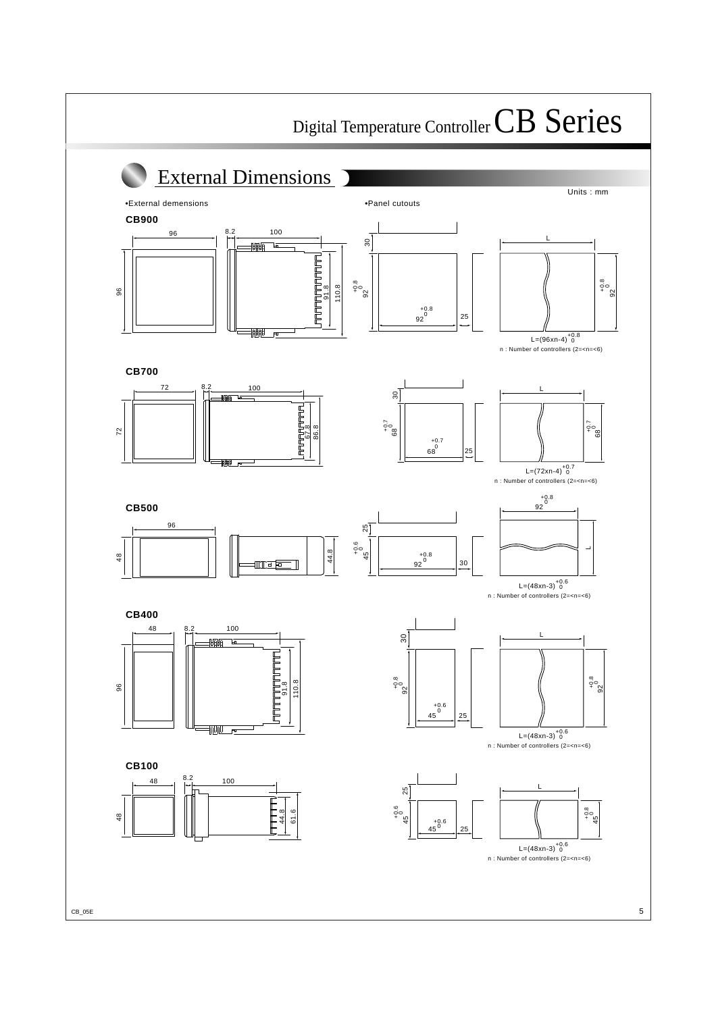